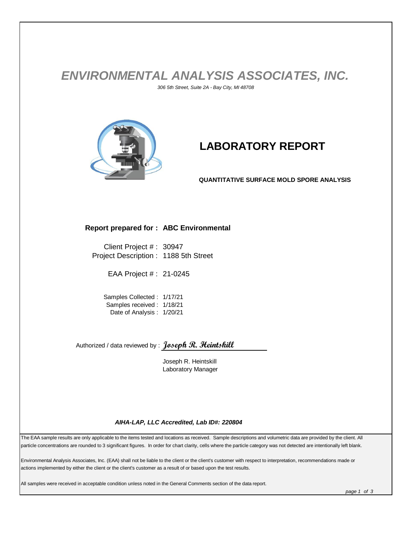## *ENVIRONMENTAL ANALYSIS ASSOCIATES, INC. 306 5th Street, Suite 2A - Bay City, MI 48708*



# **LABORATORY REPORT**

**QUANTITATIVE SURFACE MOLD SPORE ANALYSIS**

#### **Report prepared for : ABC Environmental**

Client Project # : 30947 Project Description : 1188 5th Street

EAA Project # : 21-0245

Samples Collected : 1/17/21 Samples received : 1/18/21 Date of Analysis : 1/20/21

Authorized / data reviewed by : **Joseph R. Heintskill**

Joseph R. Heintskill Laboratory Manager

#### *AIHA-LAP, LLC Accredited, Lab ID#: 220804*

The EAA sample results are only applicable to the items tested and locations as received. Sample descriptions and volumetric data are provided by the client. All particle concentrations are rounded to 3 significant figures. In order for chart clarity, cells where the particle category was not detected are intentionally left blank.

Environmental Analysis Associates, Inc. (EAA) shall not be liable to the client or the client's customer with respect to interpretation, recommendations made or actions implemented by either the client or the client's customer as a result of or based upon the test results.

All samples were received in acceptable condition unless noted in the General Comments section of the data report.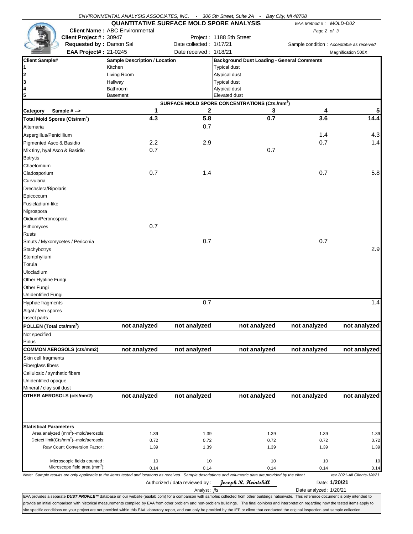|                                                                                                                                                                                                                                                                                                                                                                                                           | ENVIRONMENTAL ANALYSIS ASSOCIATES, INC. - 306 5th Street, Suite 2A - Bay City, MI 48708 |                                |                                                           |      |                        |                                           |
|-----------------------------------------------------------------------------------------------------------------------------------------------------------------------------------------------------------------------------------------------------------------------------------------------------------------------------------------------------------------------------------------------------------|-----------------------------------------------------------------------------------------|--------------------------------|-----------------------------------------------------------|------|------------------------|-------------------------------------------|
|                                                                                                                                                                                                                                                                                                                                                                                                           | <b>QUANTITATIVE SURFACE MOLD SPORE ANALYSIS</b>                                         |                                |                                                           |      | EAA Method #: MOLD-D02 |                                           |
|                                                                                                                                                                                                                                                                                                                                                                                                           | <b>Client Name: ABC Environmental</b>                                                   |                                |                                                           |      | Page 2 of 3            |                                           |
| Client Project #: 30947                                                                                                                                                                                                                                                                                                                                                                                   |                                                                                         |                                | Project: 1188 5th Street                                  |      |                        |                                           |
| Requested by: Damon Sal                                                                                                                                                                                                                                                                                                                                                                                   |                                                                                         | Date collected: 1/17/21        |                                                           |      |                        | Sample condition : Acceptable as received |
| <b>EAA Project#: 21-0245</b>                                                                                                                                                                                                                                                                                                                                                                              |                                                                                         | Date received: 1/18/21         |                                                           |      |                        | Magnification 500X                        |
| <b>Client Sample#</b>                                                                                                                                                                                                                                                                                                                                                                                     | <b>Sample Description / Location</b>                                                    |                                | <b>Background Dust Loading - General Comments</b>         |      |                        |                                           |
| 1                                                                                                                                                                                                                                                                                                                                                                                                         | Kitchen                                                                                 |                                | <b>Typical dust</b>                                       |      |                        |                                           |
| 2                                                                                                                                                                                                                                                                                                                                                                                                         | Living Room                                                                             |                                | Atypical dust                                             |      |                        |                                           |
| 3<br>4                                                                                                                                                                                                                                                                                                                                                                                                    | Hallway<br>Bathroom                                                                     |                                | <b>Typical dust</b><br>Atypical dust                      |      |                        |                                           |
| 5                                                                                                                                                                                                                                                                                                                                                                                                         | <b>Basement</b>                                                                         |                                | Elevated dust                                             |      |                        |                                           |
|                                                                                                                                                                                                                                                                                                                                                                                                           |                                                                                         |                                | SURFACE MOLD SPORE CONCENTRATIONS (Cts./mm <sup>2</sup> ) |      |                        |                                           |
| Sample #-><br>Category                                                                                                                                                                                                                                                                                                                                                                                    | 1                                                                                       | 2                              |                                                           | 3    | 4                      |                                           |
| Total Mold Spores (Cts/mm <sup>2</sup> )                                                                                                                                                                                                                                                                                                                                                                  | 4.3                                                                                     | 5.8                            |                                                           | 0.7  | 3.6                    | 14.4                                      |
| Alternaria                                                                                                                                                                                                                                                                                                                                                                                                |                                                                                         | 0.7                            |                                                           |      |                        |                                           |
| Aspergillus/Penicillium                                                                                                                                                                                                                                                                                                                                                                                   |                                                                                         |                                |                                                           |      | 1.4                    | 4.3                                       |
| Pigmented Asco & Basidio                                                                                                                                                                                                                                                                                                                                                                                  | 2.2                                                                                     | 2.9                            |                                                           |      | 0.7                    | 1.4                                       |
| Mix tiny, hyal Asco & Basidio                                                                                                                                                                                                                                                                                                                                                                             | 0.7                                                                                     |                                |                                                           | 0.7  |                        |                                           |
| <b>Botrytis</b>                                                                                                                                                                                                                                                                                                                                                                                           |                                                                                         |                                |                                                           |      |                        |                                           |
| Chaetomium                                                                                                                                                                                                                                                                                                                                                                                                |                                                                                         |                                |                                                           |      |                        |                                           |
| Cladosporium                                                                                                                                                                                                                                                                                                                                                                                              | 0.7                                                                                     | 1.4                            |                                                           |      | 0.7                    | 5.8                                       |
| Curvularia                                                                                                                                                                                                                                                                                                                                                                                                |                                                                                         |                                |                                                           |      |                        |                                           |
| Drechslera/Bipolaris                                                                                                                                                                                                                                                                                                                                                                                      |                                                                                         |                                |                                                           |      |                        |                                           |
| Epicoccum                                                                                                                                                                                                                                                                                                                                                                                                 |                                                                                         |                                |                                                           |      |                        |                                           |
| Fusicladium-like                                                                                                                                                                                                                                                                                                                                                                                          |                                                                                         |                                |                                                           |      |                        |                                           |
| Nigrospora                                                                                                                                                                                                                                                                                                                                                                                                |                                                                                         |                                |                                                           |      |                        |                                           |
| Oidium/Peronospora                                                                                                                                                                                                                                                                                                                                                                                        |                                                                                         |                                |                                                           |      |                        |                                           |
| Pithomyces                                                                                                                                                                                                                                                                                                                                                                                                | 0.7                                                                                     |                                |                                                           |      |                        |                                           |
| Rusts                                                                                                                                                                                                                                                                                                                                                                                                     |                                                                                         |                                |                                                           |      |                        |                                           |
| Smuts / Myxomycetes / Periconia                                                                                                                                                                                                                                                                                                                                                                           |                                                                                         | 0.7                            |                                                           |      | 0.7                    |                                           |
| Stachybotrys                                                                                                                                                                                                                                                                                                                                                                                              |                                                                                         |                                |                                                           |      |                        | 2.9                                       |
| Stemphylium                                                                                                                                                                                                                                                                                                                                                                                               |                                                                                         |                                |                                                           |      |                        |                                           |
| Torula                                                                                                                                                                                                                                                                                                                                                                                                    |                                                                                         |                                |                                                           |      |                        |                                           |
| <b>Ulocladium</b>                                                                                                                                                                                                                                                                                                                                                                                         |                                                                                         |                                |                                                           |      |                        |                                           |
| Other Hyaline Fungi                                                                                                                                                                                                                                                                                                                                                                                       |                                                                                         |                                |                                                           |      |                        |                                           |
| Other Fungi                                                                                                                                                                                                                                                                                                                                                                                               |                                                                                         |                                |                                                           |      |                        |                                           |
| <b>Unidentified Fungi</b>                                                                                                                                                                                                                                                                                                                                                                                 |                                                                                         |                                |                                                           |      |                        |                                           |
| Hyphae fragments                                                                                                                                                                                                                                                                                                                                                                                          |                                                                                         | 0.7                            |                                                           |      |                        | 1.4                                       |
| Algal / fern spores                                                                                                                                                                                                                                                                                                                                                                                       |                                                                                         |                                |                                                           |      |                        |                                           |
| Insect parts                                                                                                                                                                                                                                                                                                                                                                                              |                                                                                         |                                |                                                           |      |                        |                                           |
| POLLEN (Total cts/mm <sup>2</sup> )                                                                                                                                                                                                                                                                                                                                                                       | not analyzed                                                                            | not analyzed                   | not analyzed                                              |      | not analyzed           | not analyzed                              |
| Not specified                                                                                                                                                                                                                                                                                                                                                                                             |                                                                                         |                                |                                                           |      |                        |                                           |
| Pinus                                                                                                                                                                                                                                                                                                                                                                                                     |                                                                                         |                                |                                                           |      |                        |                                           |
| <b>COMMON AEROSOLS (cts/mm2)</b>                                                                                                                                                                                                                                                                                                                                                                          | not analyzed                                                                            | not analyzed                   | not analyzed                                              |      | not analyzed           | not analyzed                              |
| Skin cell fragments                                                                                                                                                                                                                                                                                                                                                                                       |                                                                                         |                                |                                                           |      |                        |                                           |
| Fiberglass fibers                                                                                                                                                                                                                                                                                                                                                                                         |                                                                                         |                                |                                                           |      |                        |                                           |
| Cellulosic / synthetic fibers                                                                                                                                                                                                                                                                                                                                                                             |                                                                                         |                                |                                                           |      |                        |                                           |
| Unidentified opaque                                                                                                                                                                                                                                                                                                                                                                                       |                                                                                         |                                |                                                           |      |                        |                                           |
| Mineral / clay soil dust                                                                                                                                                                                                                                                                                                                                                                                  |                                                                                         |                                |                                                           |      |                        |                                           |
| OTHER AEROSOLS (cts/mm2)                                                                                                                                                                                                                                                                                                                                                                                  | not analyzed                                                                            | not analyzed                   | not analyzed                                              |      | not analyzed           | not analyzed                              |
|                                                                                                                                                                                                                                                                                                                                                                                                           |                                                                                         |                                |                                                           |      |                        |                                           |
|                                                                                                                                                                                                                                                                                                                                                                                                           |                                                                                         |                                |                                                           |      |                        |                                           |
| <b>Statistical Parameters</b><br>Area analyzed (mm <sup>2</sup> )--mold/aerosols:                                                                                                                                                                                                                                                                                                                         | 1.39                                                                                    | 1.39                           |                                                           | 1.39 | 1.39                   | 1.39                                      |
| Detect limit(Cts/mm <sup>2</sup> )--mold/aerosols:                                                                                                                                                                                                                                                                                                                                                        | 0.72                                                                                    | 0.72                           |                                                           | 0.72 | 0.72                   | 0.72                                      |
| Raw Count Conversion Factor:                                                                                                                                                                                                                                                                                                                                                                              | 1.39                                                                                    | 1.39                           |                                                           | 1.39 | 1.39                   | 1.39                                      |
|                                                                                                                                                                                                                                                                                                                                                                                                           |                                                                                         |                                |                                                           |      |                        |                                           |
| Microscopic fields counted:                                                                                                                                                                                                                                                                                                                                                                               | 10                                                                                      | 10                             |                                                           | 10   | 10                     | 10                                        |
| Microscope field area (mm <sup>2</sup> ):                                                                                                                                                                                                                                                                                                                                                                 | 0.14                                                                                    | 0.14                           |                                                           | 0.14 | 0.14                   | 0.14                                      |
| Note: Sample results are only applicable to the items tested and locations as received. Sample descriptions and volumetric data are provided by the client.                                                                                                                                                                                                                                               |                                                                                         |                                |                                                           |      |                        | rev.2021-All Clients-1/4/21               |
|                                                                                                                                                                                                                                                                                                                                                                                                           |                                                                                         | Authorized / data reviewed by: | Joseph R. Heintskill                                      |      |                        | Date: 1/20/21                             |
|                                                                                                                                                                                                                                                                                                                                                                                                           |                                                                                         | Analyst: <i>ils</i>            |                                                           |      | Date analyzed: 1/20/21 |                                           |
| EAA provides a separate DUST PROFILE™ database on our website (eaalab.com) for a comparison with samples collected from other buildings nationwide. This reference document is only intended to<br>provide an initial comparison with historical measurements compiled by EAA from other problem and non-problem buildings. The final opinions and interpretation regarding how the tested items apply to |                                                                                         |                                |                                                           |      |                        |                                           |
| site specific conditions on your project are not provided within this EAA laboratory report, and can only be provided by the IEP or client that conducted the original inspection and sample collection.                                                                                                                                                                                                  |                                                                                         |                                |                                                           |      |                        |                                           |